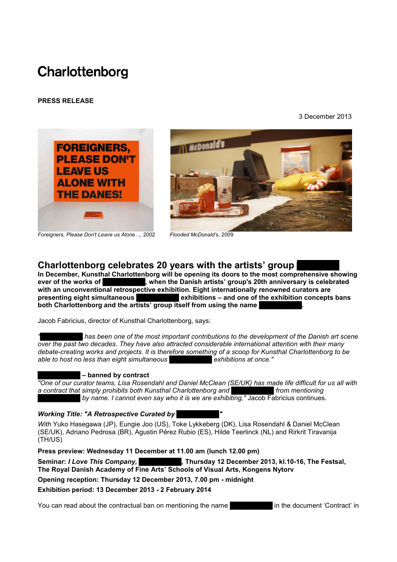# Charlottenborg

# **PRESS RELEASE**

3 December 2013





*Foreigners, Please Don't Leave us Alone…,* <sup>2002</sup> *Flooded <sup>M</sup>cDonald's,* <sup>2009</sup>

# **Charlottenborg celebrates 20 years with the artists' group**

In December, Kunsthal Charlottenborg will be opening its doors to the most comprehensive showing ever of the works of **Comprehensive showing**, when the Danish artists' group's 20th anniversary is celebrated **Example 1 B EXEC 20th and the Danish artists' group's 20th anniversary is celebrated with an unconventional retrospective exhibition. Eight internationally renowned curators are presenting eight simultaneous <b>E** exhibitions – and one of the exhibition concepts bans **both Charlottenborg and the artists' group itself from using the name** 

Jacob Fabricius, director of Kunsthal Charlottenborg, says:

**has been one of the most important contributions to the development of the Danish art scene** *over the past two decades. They have also attracted considerable international attention with their many debate-creating works and projects. It is therefore something of a scoop for Kunsthal Charlottenborg to be able to host no less than eight simultaneous* **█████████** *exhibitions at once."*

# $\blacksquare$  – banned by contract

*"One of our curator teams, Lisa Rosendahl and Daniel McClean (SE/UK) has made life difficult for us all with*  **a** contract that simply prohibits both Kunsthal Charlottenborg and *a strateger are from mentioning* **B** *by name. I cannot even say who it is we are exhibiting," Jacob Fabricius continues.* 

# **Working Title: "A Retrospective Curated by**

*With* Yuko Hasegawa (JP), Eungie Joo (US), Toke Lykkeberg (DK), Lisa Rosendahl & Daniel McClean (SE/UK), Adriano Pedrosa (BR), Agustin Pérez Rubio (ES), Hilde Teerlinck (NL) and Rirkrit Tiravanija (TH/US)

**Press preview: Wednesday 11 December at 11.00 am (lunch 12.00 pm)**

**Seminar:** *I Love This Company,* **█████████, Thursday 12 December 2013, kl.10-16, The Festsal, The Royal Danish Academy of Fine Arts' Schools of Visual Arts, Kongens Nytorv** 

**Opening reception: Thursday 12 December 2013, 7.00 pm - midnight**

**Exhibition period: 13 December 2013 - 2 February 2014**

You can read about the contractual ban on mentioning the name **Example 20** in the document 'Contract' in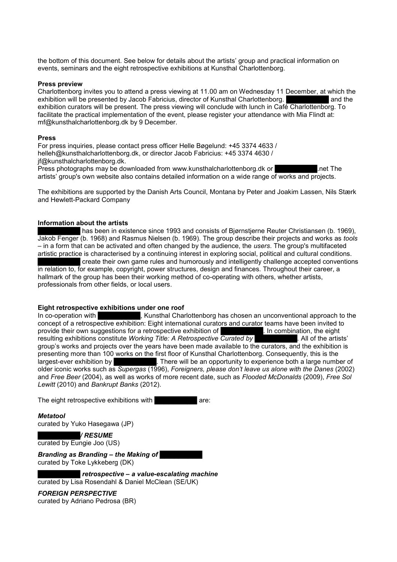the bottom of this document. See below for details about the artists' group and practical information on events, seminars and the eight retrospective exhibitions at Kunsthal Charlottenborg.

# **Press preview**

Charlottenborg invites you to attend a press viewing at 11.00 am on Wednesday 11 December, at which the exhibition will be presented by Jacob Fabricius, director of Kunsthal Charlottenborg. exhibition curators will be present. The press viewing will conclude with lunch in Café Charlottenborg. To facilitate the practical implementation of the event, please register your attendance with Mia Flindt at: [mf@kunsthalcharlottenborg.dk](mailto:mf@kunsthalcharlottenborg.dk) by 9 December.

### **Press**

For press inquiries, please contact press officer Helle Bøgelund: +45 3374 4633 / [helleh@kunsthalcharlottenborg.dk,](mailto:helleh@kunsthalcharlottenborg.dk) or director Jacob Fabricius: +45 3374 4630 / [jf@kunsthalcharlottenborg.dk.](mailto:jf@kunsthalcharlottenborg.dk) Press photographs may be downloaded from [www.kunsthalcharlottenborg.dk](http://www.kunsthalcharlottenborg.dk/) or **Example 20** net The artists' group's own website also contains detailed information on a wide range of works and projects.

The exhibitions are supported by the Danish Arts Council, Montana by Peter and Joakim Lassen, Nils Stærk and Hewlett-Packard Company

# **Information about the artists**

has been in existence since 1993 and consists of Biørnstierne Reuter Christiansen (b. 1969). Jakob Fenger (b. 1968) and Rasmus Nielsen (b. 1969). The group describe their projects and works as *tools*  – in a form that can be activated and often changed by the audience, the *users*. The group's multifaceted artistic practice is characterised by a continuing interest in exploring social, political and cultural conditions. create their own game rules and humorously and intelligently challenge accepted conventions in relation to, for example, copyright, power structures, design and finances. Throughout their career, a hallmark of the group has been their working method of co-operating with others, whether artists, professionals from other fields, or local users.

# **Eight retrospective exhibitions under one roof**

In co-operation with **EXEC BEE BEES EXECUTE:** Kunsthal Charlottenborg has chosen an unconventional approach to the concept of a retrospective exhibition: Eight international curators and curator teams have been invited to provide their own suggestions for a retrospective exhibition of  $\blacksquare$ . In combination, the eight provide their own suggestions for a retrospective exhibition of resulting exhibitions constitute *Working Title: A Retrospective Curated by* [2015] All of the artists' group's works and projects over the years have been made available to the curators, and the exhibition is presenting more than 100 works on the first floor of Kunsthal Charlottenborg. Consequently, this is the largest-ever exhibition by **Exercise 2 Instance**. There will be an opportunity to experience both a large number of older iconic works such as *Supergas* (1996), *Foreigners, please don't leave us alone with the Danes* (2002) and *Free Beer* (2004), as well as works of more recent date, such as *Flooded McDonalds* (2009), *Free Sol Lewitt* (2010) and *Bankrupt Banks* (2012).

The eight retrospective exhibitions with **EXECUTE:** are:

# *Metatool*

curated by Yuko Hasegawa (JP)

**█████████***/ RESUME* curated by Eungie Joo (US)

**Branding as Branding – the Making of** curated by Toke Lykkeberg (DK)

*Internative – a value-escalating machine* curated by Lisa Rosendahl & Daniel McClean (SE/UK)

*FOREIGN PERSPECTIVE* curated by Adriano Pedrosa (BR)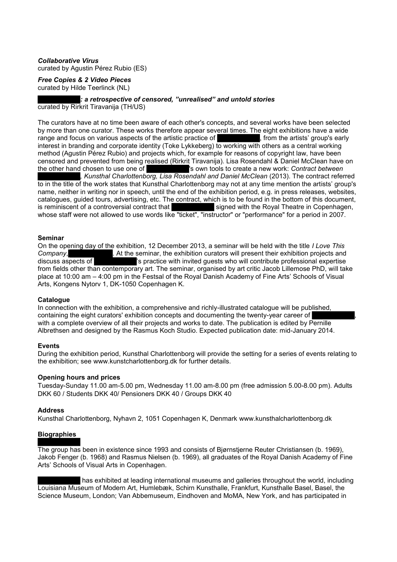# *Collaborative Virus*

curated by Agustin Pérez Rubio (ES)

*Free Copies & 2 Video Pieces* curated by Hilde Teerlinck (NL)

**█████████***: a retrospective of censored, "unrealised" and untold stories* curated by Rirkrit Tiravanija (TH/US)

The curators have at no time been aware of each other's concepts, and several works have been selected by more than one curator. These works therefore appear several times. The eight exhibitions have a wide range and focus on various aspects of the artistic practice of  $\blacksquare$ , from the artists' group's early range and focus on various aspects of the artistic practice of interest in branding and corporate identity (Toke Lykkeberg) to working with others as a central working method (Agustin Pérez Rubio) and projects which, for example for reasons of copyright law, have been censored and prevented from being realised (Rirkrit Tiravanija). Lisa Rosendahl & Daniel McClean have on the other hand chosen to use one of strategy sown tools to create a new work: Contract between 's own tools to create a new work: *Contract between* **█████████***, Kunsthal Charlottenborg, Lisa Rosendahl and Daniel McClean* (2013). The contract referred to in the title of the work states that Kunsthal Charlottenborg may not at any time mention the artists' group's name, neither in writing nor in speech, until the end of the exhibition period, e.g. in press releases, websites, catalogues, guided tours, advertising, etc. The contract, which is to be found in the bottom of this document, is reminiscent of a controversial contract that signed with the Royal Theatre in Copenhagen, signed with the Royal Theatre in Copenhagen, whose staff were not allowed to use words like "ticket", "instructor" or "performance" for a period in 2007.

# **Seminar**

On the opening day of the exhibition, 12 December 2013, a seminar will be held with the title *I Love This*  **Company, EXECUTE:** At the seminar, the exhibition curators will present their exhibition projects and discuss aspects of **EXECUTE:** is practice with invited quests who will contribute professional expertise 's practice with invited quests who will contribute professional expertise from fields other than contemporary art. The seminar, organised by art critic Jacob Lillemose PhD, will take place at 10:00 am – 4:00 pm in the Festsal of the Royal Danish Academy of Fine Arts' Schools of Visual Arts, Kongens Nytorv 1, DK-1050 Copenhagen K.

# **Catalogue**

In connection with the exhibition, a comprehensive and richly-illustrated catalogue will be published, containing the eight curators' exhibition concepts and documenting the twenty-year career of with a complete overview of all their projects and works to date. The publication is edited by Pernille Albrethsen and designed by the Rasmus Koch Studio. Expected publication date: mid-January 2014.

# **Events**

During the exhibition period, Kunsthal Charlottenborg will provide the setting for a series of events relating to the exhibition; see [www.kunstcharlottenborg.dk](http://www.kunstcharlottenborg.dk/) for further details.

# **Opening hours and prices**

Tuesday-Sunday 11.00 am-5.00 pm, Wednesday 11.00 am-8.00 pm (free admission 5.00-8.00 pm). Adults DKK 60 / Students DKK 40/ Pensioners DKK 40 / Groups DKK 40

# **Address**

Kunsthal Charlottenborg, Nyhavn 2, 1051 Copenhagen K, Denmark [www.kunsthalcharlottenborg.dk](http://www.kunsthalcharlottenborg.dk/)

# **Biographies**

The group has been in existence since 1993 and consists of Bjørnstjerne Reuter Christiansen (b. 1969), Jakob Fenger (b. 1968) and Rasmus Nielsen (b. 1969), all graduates of the Royal Danish Academy of Fine Arts' Schools of Visual Arts in Copenhagen.

has exhibited at leading international museums and galleries throughout the world, including Louisiana Museum of Modern Art, Humlebæk, Schirn Kunsthalle, Frankfurt, Kunsthalle Basel, Basel, the Science Museum, London; Van Abbemuseum, Eindhoven and MoMA, New York, and has participated in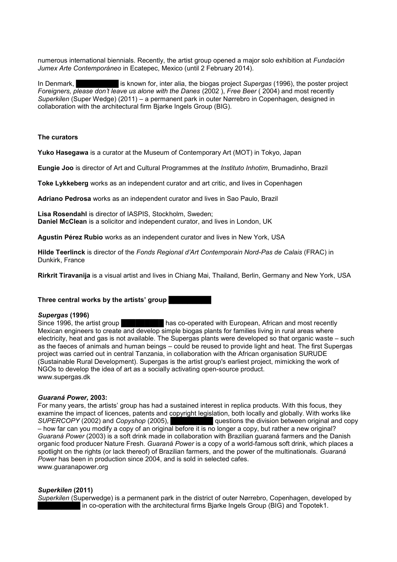numerous international biennials. Recently, the artist group opened a major solo exhibition at *Fundación Jumex Arte Contemporáneo* in Ecatepec, Mexico (until 2 February 2014).

In Denmark, **Edding 1 is known for, inter alia, the biogas project Supergas (1996), the poster project** *Foreigners, please don't leave us alone with the Danes* (2002 ), *Free Beer* ( 2004) and most recently *Superkilen* (Super Wedge) (2011) – a permanent park in outer Nørrebro in Copenhagen, designed in collaboration with the architectural firm Biarke Ingels Group (BIG).

# **The curators**

**Yuko Hasegawa** is a curator at the Museum of Contemporary Art (MOT) in Tokyo, Japan

**Eungie Joo** is director of Art and Cultural Programmes at the *Instituto Inhotim*, Brumadinho, Brazil

**Toke Lykkeberg** works as an independent curator and art critic, and lives in Copenhagen

**Adriano Pedrosa** works as an independent curator and lives in Sao Paulo, Brazil

**Lisa Rosendahl** is director of IASPIS, Stockholm, Sweden; **Daniel McClean** is a solicitor and independent curator, and lives in London, UK

**Agustin Pérez Rubio** works as an independent curator and lives in New York, USA

**Hilde Teerlinck** is director of the *Fonds Regional d'Art Contemporain Nord-Pas de Calais* (FRAC) in Dunkirk, France

**Rirkrit Tiravanija** is a visual artist and lives in Chiang Mai, Thailand, Berlin, Germany and New York, USA

# **Three central works by the artists' group**

### *Supergas* **(1996)**

Since 1996, the artist group **EXECUTE THE HAS CO-operated with European, African and most recently** Mexican engineers to create and develop simple biogas plants for families living in rural areas where electricity, heat and gas is not available. The Supergas plants were developed so that organic waste – such as the faeces of animals and human beings – could be reused to provide light and heat. The first Supergas project was carried out in central Tanzania, in collaboration with the African organisation SURUDE (Sustainable Rural Development). Supergas is the artist group's earliest project, mimicking the work of NGOs to develop the idea of art as a socially activating open-source product. [www.supergas.dk](http://www.supergas.dk/)

### *Guaraná Power,* **2003:**

For many years, the artists' group has had a sustained interest in replica products. With this focus, they examine the impact of licences, patents and copyright legislation, both locally and globally. With works like *SUPERCOPY* (2002) and *Copyshop* (2005), **█████████** questions the division between original and copy – how far can you modify a copy of an original before it is no longer a copy, but rather a new original? *Guaraná Power* (2003) is a soft drink made in collaboration with Brazilian guaraná farmers and the Danish organic food producer Nature Fresh. *Guaraná Power* is a copy of a world-famous soft drink, which places a spotlight on the rights (or lack thereof) of Brazilian farmers, and the power of the multinationals. *Guaraná Power* has been in production since 2004, and is sold in selected cafes. www.guaranapower.org

### *Superkilen* **(2011)**

*Superkilen* (Superwedge) is a permanent park in the district of outer Nørrebro, Copenhagen, developed by In co-operation with the architectural firms Bjarke Ingels Group (BIG) and Topotek1.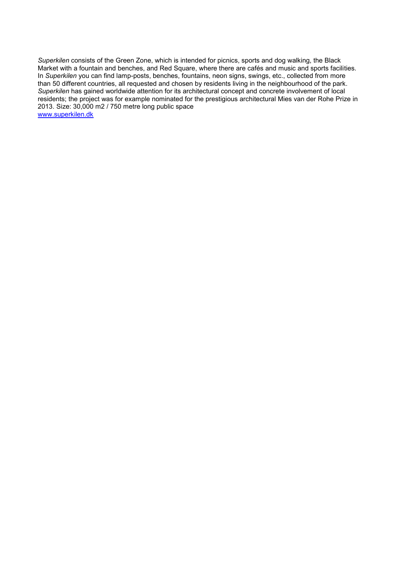*Superkilen* consists of the Green Zone, which is intended for picnics, sports and dog walking, the Black Market with a fountain and benches, and Red Square, where there are cafés and music and sports facilities. In *Superkilen* you can find lamp-posts, benches, fountains, neon signs, swings, etc., collected from more than 50 different countries, all requested and chosen by residents living in the neighbourhood of the park. *Superkilen* has gained worldwide attention for its architectural concept and concrete involvement of local residents; the project was for example nominated for the prestigious architectural Mies van der Rohe Prize in 2013. Size: 30,000 m2 / 750 metre long public space [www.superkilen.dk](http://www.superkilen.dk/)